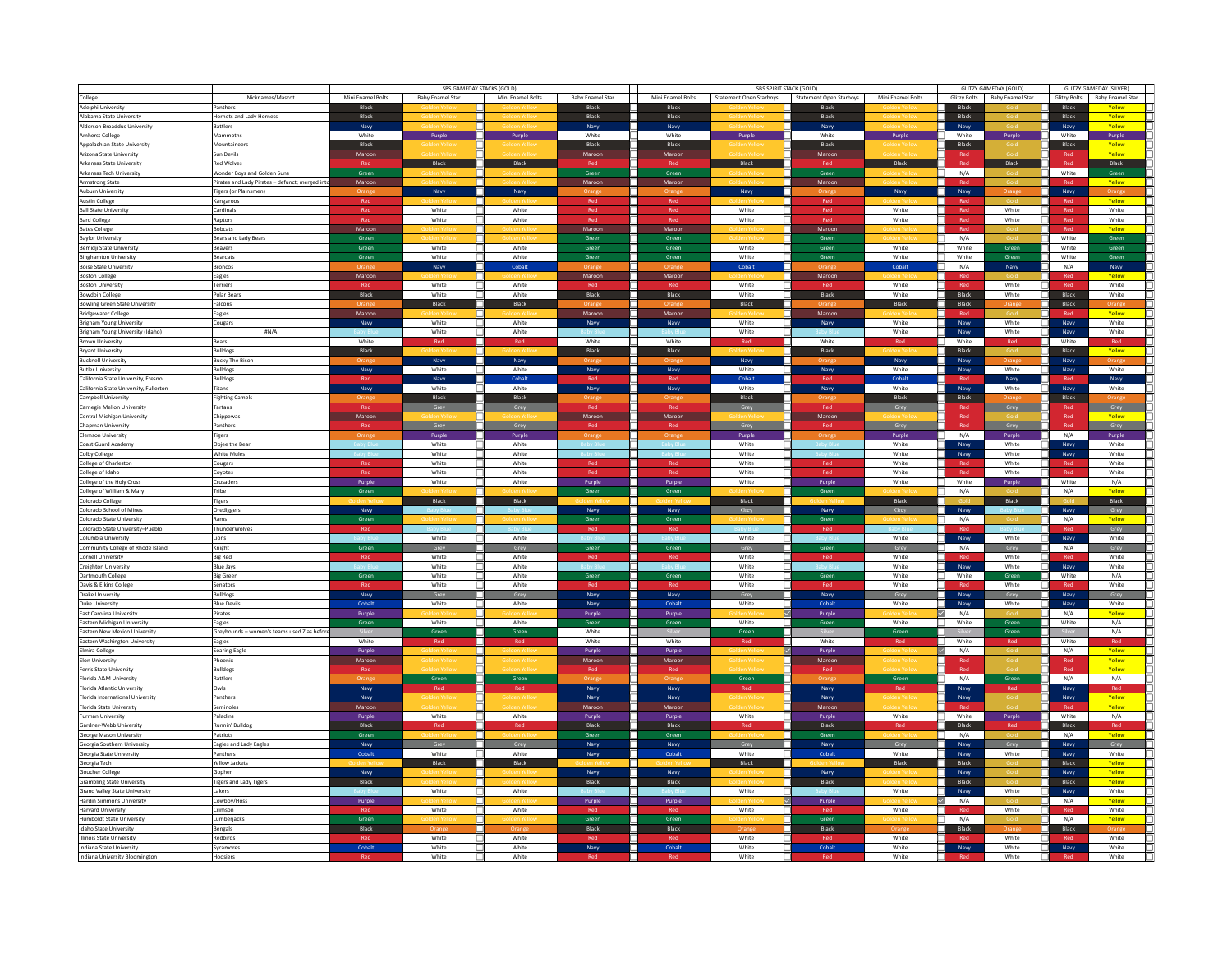|                                                          |                                                 |                   | SBS GAMEDAY STACKS (GOLD) |                   |                         |                   | SBS SPIRIT STACK (GOLD) |                         |                   | <b>GLITZY GAMEDAY (GOLD)</b> | <b>GLITZY GAMEDAY (SILVER)</b> |                     |                         |
|----------------------------------------------------------|-------------------------------------------------|-------------------|---------------------------|-------------------|-------------------------|-------------------|-------------------------|-------------------------|-------------------|------------------------------|--------------------------------|---------------------|-------------------------|
| College                                                  | Nicknames/Mascot                                | Mini Enamel Bolts | <b>Baby Enamel Star</b>   | Mini Enamel Bolts | <b>Baby Enamel Star</b> | Mini Enamel Bolts | Statement Open Starboys | Statement Open Starboys | Mini Enamel Bolts | <b>Glitzy Bolts</b>          | <b>Baby Enamel Star</b>        | <b>Glitzy Bolts</b> | <b>Baby Enamel Star</b> |
| Adelphi University                                       | Panthers                                        | Black             |                           |                   | Black                   | Black             |                         | Black                   |                   | Black                        |                                | Black               | Yellow                  |
| Alabama State University                                 | Hornets and Lady Hornets                        | Black             |                           |                   | Black                   | Black             |                         | Black                   |                   | Black                        |                                | Black               | Yellow                  |
| Alderson Broaddus University                             | <b>Battlers</b>                                 | Navy              |                           |                   | Navy                    | Navy              |                         | Navy                    |                   | Navy                         |                                | Navy                | Yellow                  |
| Amherst College                                          | Mammoths                                        | White             | Purol                     | Purpl             | White                   | White             | Purple                  | White                   | Purple            | White                        | Purple                         | White               | Purple                  |
| Appalachian State University                             | Mountaineers                                    | Black             |                           |                   | Black                   | Black             |                         | Black                   |                   | Black                        |                                | Black               | Yellow                  |
| Arizona State University                                 | Sun Devils                                      | Maroor            |                           |                   | Maroo                   | Maroo             |                         | Maroo                   |                   |                              |                                |                     | Yellow                  |
| Arkansas State University                                | <b>Red Wolves</b>                               |                   | Black                     | Black             |                         |                   | Black                   |                         | Black             | Red                          | Black                          | Red                 | $B$ lack                |
| Arkansas Tech University                                 | Wonder Boys and Golden Suns                     | Green             |                           |                   | Green                   | Green             |                         | Green                   |                   | N/A                          |                                | White               | Green                   |
| Armstrong State                                          | Pirates and Lady Pirates - defunct; merged into | Maroon            |                           |                   | Maroon                  | Maroon            |                         | Maroon                  |                   |                              |                                |                     | Yellow                  |
| Auburn University                                        | <b>Tigers (or Plainsmen)</b>                    |                   | Navy                      | Nav               |                         |                   | Navy                    |                         | Navy              | Navy                         |                                | Navy                | Drangi                  |
| Austin College                                           | Kangaroos                                       | Red               |                           |                   | Red                     | Red               |                         | Red                     |                   |                              |                                |                     | Yellow                  |
| <b>Ball State University</b>                             | Cardinals                                       | Red               | White                     | White             | Red                     | Red               | White                   | Red                     | White             | Red                          | White                          | Red                 | White                   |
| <b>Bard College</b>                                      | Raptors                                         | Red               | White                     | White             | Red                     | Red               | White                   | Red                     | White             | Red                          | White                          | Red                 | White                   |
| <b>Bates College</b><br><b>Baylor University</b>         | <b>Bobcats</b>                                  | Maroon            |                           |                   | Maroon<br>Green         | Maroon<br>Green   |                         | Maroon<br>Green         |                   | Red<br>N/A                   |                                | Red<br>White        | Yellow                  |
|                                                          | Bears and Lady Bears                            | Green<br>Green    | White                     | White             | Green                   | Green             | White                   | Green                   | White             | White                        | Green                          | White               | Green<br>Green          |
| Bemidji State University<br><b>Binghamton University</b> | Beavers<br><b>Bearcats</b>                      | Green             | White                     | White             | Green                   | Green             | White                   | Green                   | White             | White                        |                                | White               | Green                   |
|                                                          | Broncos                                         |                   |                           | Cobalt            |                         |                   | Cobalt                  |                         | Cobalt            | N/A                          | Green                          | N/A                 |                         |
| <b>Boise State University</b>                            |                                                 | Maroon            | Navy                      |                   | Maroon                  | Maroon            |                         | Maroon                  |                   | Red                          | Navy                           | Red                 | Navy                    |
| <b>Boston College</b>                                    | Eagles<br><b>Terriers</b>                       |                   | White                     | White             |                         |                   | White                   |                         | White             | Red                          | White                          | Red                 | Yellow<br>White         |
| <b>Boston University</b><br><b>Bowdoin College</b>       | Polar Bears                                     | Black             | White                     | White             | Black                   | Black             | White                   | Black                   | White             | Black                        | White                          | Black               | White                   |
| <b>Bowling Green State University</b>                    | Falcons                                         |                   | Black                     | Black             |                         |                   | Black                   |                         | Black             | Black                        |                                | Black               |                         |
| Bridgewater College                                      | Eagles                                          | Maroon            |                           |                   | Maroon                  | Maroor            |                         | Maroon                  |                   |                              |                                |                     | Yellow                  |
| <b>Brigham Young University</b>                          | Cougars                                         | Navy              | White                     | White             | Navy                    | Navy              | White                   | Navy                    | White             | Navy                         | White                          | Navy                | White                   |
| Brigham Young University (Idaho)                         | #N/A                                            |                   | White                     | White             |                         |                   | White                   |                         | White             | Navy                         | White                          | Navy                | White                   |
| <b>Brown University</b>                                  | Bears                                           | White             | Rec                       | Red               | White                   | White             |                         | White                   | Red               | White                        | Red                            | White               | Red                     |
| <b>Bryant University</b>                                 | <b>Bulldogs</b>                                 | Black             |                           |                   | <b>Black</b>            | Black             |                         | Black                   |                   | Black                        |                                | Black               | Yellow                  |
| <b>Bucknell University</b>                               | <b>Bucky The Bison</b>                          |                   | Navy                      | Navy              |                         |                   | Navy                    |                         | Navy              | Navy                         | Orange                         | Navy                | Orange                  |
| <b>Butler University</b>                                 | <b>Bulldogs</b>                                 | Navy              | White                     | White             | Navy                    | Navy              | White                   | Navy                    | White             | Navy                         | White                          | Navy                | White                   |
| California State University, Fresno                      | <b>Bulldoes</b>                                 |                   | Navy                      | Cobalt            |                         |                   | Cobalt                  |                         | Cobalt            |                              | Navy                           |                     | Navy                    |
| California State University, Fullerton                   | Titans                                          | Navy              | White                     | White             | Navy                    | Navy              | White                   | Navy                    | White             | Navy                         | White                          | Navy                | White                   |
| Campbell University                                      | <b>Fighting Camels</b>                          |                   | Black                     | <b>Black</b>      |                         |                   | Rlack                   |                         | Black             | Black                        |                                | <b>Black</b>        |                         |
| Carnegie Mellon University                               | Tartans                                         | Red               | Grey                      | Grey              |                         | Rec               | Grey                    | Red                     | Grey              |                              | Grey                           |                     | Grey                    |
| Central Michigan University                              | Chippewas                                       | Maroon            |                           |                   | Maroon                  | Maroon            |                         | Maroon                  |                   | Red                          |                                | Red                 | Yellow                  |
| Chapman University                                       | Panthers                                        | Red               | Grey                      | Grev              | Red                     | Red               | <b>Grey</b>             | Red                     | Grey              | Red                          | Grey                           | Red                 | Grey                    |
| Clemson University                                       | <b>Tigers</b>                                   |                   | Purple                    | Purple            |                         |                   | Purple                  |                         | Purple            | N/A                          | Purple                         | N/A                 | Purple                  |
| Coast Guard Academy                                      | Objee the Bear                                  |                   | White                     | White             |                         |                   | White                   |                         | White             | Navy                         | White                          | Navy                | White                   |
| Colby College                                            | <b>White Mules</b>                              |                   | White                     | White             |                         |                   | White                   |                         | White             | Navy                         | White                          | Navy                | White                   |
| College of Charleston                                    | Cougars                                         | Red               | White                     | White             | Red                     | Red               | White                   | Red                     | White             |                              | White                          |                     | White                   |
| College of Idaho                                         | Covotes                                         | Red               | White                     | White             | Red                     | Red               | White                   | Red                     | White             | Red                          | White                          | Red                 | White                   |
| College of the Holy Cross                                | Crusaders                                       | Purple            | White                     | White             | Purple                  | Purple            | White                   | Purple                  | White             | White                        | Purple                         | White               | N/A                     |
| College of William & Mary                                | Tribe                                           | Green             |                           |                   | Green                   | Green             |                         | Green                   |                   | N/A                          |                                | N/A                 | Yellow                  |
| Colorado College                                         | <b>Tigers</b>                                   |                   | Black                     | Black             |                         |                   | Black                   |                         | Black             |                              | Black                          |                     | Black                   |
| Colorado School of Mines                                 | Orediggers                                      | Navy              |                           |                   | Navy                    | Navy              | Grey                    | Navy                    | Grey              | Navy                         |                                | Navy                | Grey                    |
| Colorado State University                                | Rams                                            | Green             |                           |                   | Green                   | Green             |                         | Green                   |                   | N/A                          |                                | N/A                 | Yellow<br>Grey          |
| Colorado State University-Pueblo<br>Columbia University  | <b>ThunderWolves</b><br>Lions                   |                   | White                     | White             |                         |                   | White                   |                         | White             | Navy                         | White                          | Navy                | White                   |
| Community College of Rhode Island                        | Knight                                          | Green             | Grey                      | Grey              | Green                   | Green             | Grey                    | Green                   | Grey              | N/A                          | Grey                           | N/A                 | Grey                    |
| Cornell University                                       | <b>Big Red</b>                                  | Red               | White                     | White             | Red                     | Rec               | White                   | Red                     | White             |                              | White                          |                     | White                   |
| Creighton University                                     | <b>Blue Javs</b>                                |                   | White                     | White             |                         |                   | White                   |                         | White             | Navy                         | White                          | Navy                | White                   |
| Dartmouth College                                        | <b>Big Green</b>                                | Green             | White                     | White             | Greet                   | Green             | White                   | Green                   | White             | White                        | Gree                           | White               | N/A                     |
| Davis & Elkins College                                   | <b>Senators</b>                                 |                   | White                     | White             |                         |                   | White                   |                         | White             |                              | White                          |                     | White                   |
| Drake University                                         | <b>Bulldogs</b>                                 | <b>Navy</b>       | Grey                      | Grey              | Navy                    | Naw               | Grey                    | Navy                    | Grey              | Navy                         | Grey                           | Navy                | Grey                    |
| Duke University                                          | <b>Blue Devils</b>                              | Cobalt            | White                     | White             | Navy                    | Cobalt            | White                   | Cobalt                  | White             | Navy                         | White                          | Navy                | White                   |
| East Carolina University                                 | Pirates                                         | Purple            |                           |                   | Purple                  | Purple            |                         | Purple                  |                   | N/A                          |                                | N/A                 | Yellow                  |
| Eastern Michigan University                              | Eagles                                          | Green             | White                     | White             | Gree                    | Green             | White                   | Green                   | White             | White                        | Green                          | White               | N/A                     |
| Eastern New Mexico University                            | Greyhounds - women's teams used Zias befor      |                   | Green                     | Green             | White                   |                   | Greet                   |                         | Green             |                              | Green                          |                     | N/A                     |
| Eastern Washington University                            | Eagles                                          | White             | Rec                       | Red               | White                   | White             | Red                     | White                   | Red               | White                        |                                | White               | Red                     |
| Elmira College                                           | <b>Soaring Eagle</b>                            | Purple            |                           |                   | Purple                  | Purple            |                         | Purple                  |                   | N/A                          |                                | N/A                 | Yellow                  |
| <b>Elon University</b>                                   | Phoenix                                         | Maroon            |                           |                   | Maroon                  | Maroon            |                         | Maroon                  |                   | Red                          |                                | Red                 | Yellow                  |
| Ferris State University                                  | <b>Bulldogs</b>                                 | Red               |                           |                   |                         |                   |                         |                         |                   | Red                          |                                | Red                 | Yellow                  |
| Florida A&M University                                   | Rattlers                                        |                   | Green                     | Green             |                         |                   | Green                   |                         | Green             | N/A                          | Green                          | N/A                 | N/A                     |
| Florida Atlantic University                              | Owls                                            | <b>Navy</b>       | Rec                       | Red               | Navy                    | Naw               | Red                     | <b>Navy</b>             | Red               | Navy                         | Red                            | Navy                | Red                     |
| Florida International University                         | Panthers                                        | Navy              |                           |                   | Navy                    | Navy              |                         | Navy                    |                   | Navy                         |                                | Navy                | Yellow                  |
| Florida State University                                 | Seminoles                                       | Maroon            | White                     | White             | Maroon                  | Maroon            | White                   | Maroon                  | White             | Red                          |                                | Red<br>White        | Yellow                  |
| Furman University                                        | Paladins                                        | Purple            |                           |                   | Purple                  | Purple            |                         | Purple                  |                   | White                        | Purple                         | Black               | N/A                     |
| Gardner-Webb University<br>George Mason University       | Runnin' Bulldor<br>Patriots                     | Black<br>Green    | Ren                       | Red               | Black<br>Green          | Black<br>Green    | Red                     | Black<br>Green          | Red               | Black<br>N/A                 | Red                            | N/A                 | Red<br>Yellow           |
| Georgia Southern University                              | Eagles and Lady Eagles                          | Navy              | Grey                      | Grey              | Navy                    | Navy              | Grey                    | Navy                    | Grey              | Navy                         | Grey                           | Navy                | Grey                    |
| Georgia State University                                 | Panthers                                        | Cobalt            | White                     | White             | Navy                    | Cobalt            | White                   | Cobalt                  | White             | Navy                         | White                          | Naw                 | White                   |
| Georgia Tech                                             | Yellow Jackets                                  |                   | Black                     | Black             |                         |                   | Black                   |                         | Black             | Black                        |                                | Black               | Yellow                  |
| Goucher College                                          | Gopher                                          | Navy              |                           |                   | Navy                    | Navy              |                         | Navy                    |                   | Navy                         |                                | Navy                | Yellow                  |
| Grambling State University                               | <b>Tigers and Lady Tigers</b>                   | Black             |                           |                   | Black                   | Black             |                         | Black                   |                   | Black                        |                                | Black               | Yellow                  |
| Grand Valley State University                            | Lakers                                          |                   | White                     | White             |                         |                   | White                   |                         | White             | Navy                         | White                          | Navy                | White                   |
| Hardin Simmons University                                | Cowhov/Hoss                                     | Purple            |                           |                   | Purple                  | Purple            |                         | Purple                  |                   | N/A                          |                                | N/A                 | Yellow                  |
| Harvard University                                       | Crimson                                         |                   | White                     | White             |                         |                   | White                   |                         | White             | Red                          | White                          | Red                 | White                   |
| Humboldt State University                                | umberjacks                                      | Green             |                           |                   | Green                   | Green             |                         | Green                   |                   | N/A                          |                                | N/A                 | Vollow                  |
| Idaho State University                                   | Bengals                                         | Black             |                           |                   | Black                   | Black             |                         | Black                   | Orang             | Black                        |                                | Black               |                         |
|                                                          | Redbirds                                        |                   | White                     | White             |                         |                   | White                   |                         | White             |                              | White                          |                     | White                   |
| Illinois State University<br>Indiana State University    | Syramores                                       | Cobalt            | White                     | White             | Navy                    | Cobalt            | White                   | Cobalt                  | White             | Navy                         | White                          | Navy                | White                   |
| Indiana University Bloomington                           | Hoosiers                                        |                   | White                     | White             |                         |                   | White                   |                         | White             |                              | White                          |                     | White                   |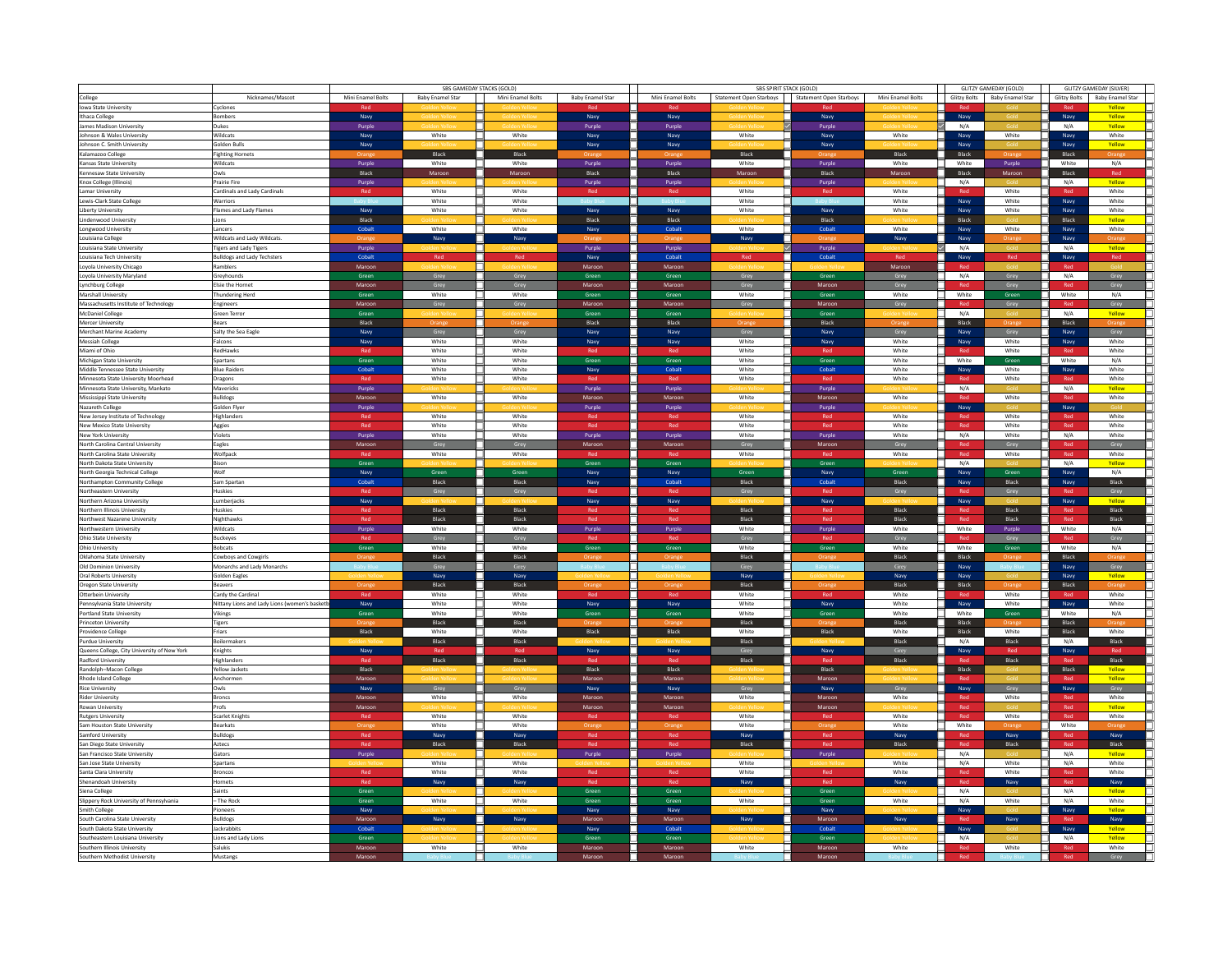|                                                               |                                              |                   | SBS GAMEDAY STACKS (GOLD) |                   |                         |                   | <b>SBS SPIRIT STACK (GOLD)</b> |                         | GLITZY GAMEDAY (GOLD) |              | <b>GLITZY GAMEDAY (SILVER)</b> |              |                         |  |
|---------------------------------------------------------------|----------------------------------------------|-------------------|---------------------------|-------------------|-------------------------|-------------------|--------------------------------|-------------------------|-----------------------|--------------|--------------------------------|--------------|-------------------------|--|
| College                                                       | Nicknames/Mascot                             | Mini Enamel Bolts | <b>Baby Enamel Star</b>   | Mini Enamel Bolts | <b>Baby Enamel Star</b> | Mini Enamel Bolts | <b>Statement Open Starboys</b> | Statement Open Starboys | Mini Enamel Bolts     | Glitzy Bolts | <b>Baby Enamel Star</b>        | Glitzy Bolts | <b>Baby Enamel Star</b> |  |
| Iowa State University                                         | Cyclones                                     |                   |                           |                   |                         |                   |                                |                         |                       |              |                                |              | Yellow                  |  |
|                                                               | <b>Bombers</b>                               |                   |                           |                   |                         |                   |                                |                         |                       |              |                                |              | Yellow                  |  |
| Ithaca College                                                |                                              | Navy              |                           |                   | Navy                    | Navy              |                                | Navy                    |                       | Navy         |                                | Navy         |                         |  |
| James Madison University                                      | Dukes                                        | Purple            |                           |                   | Purple                  | Purple            |                                | Purple                  |                       | N/A          |                                | N/A          | Yellow                  |  |
| Johnson & Wales University                                    | Wildcats                                     | Navy              | White                     | White             | Navy                    | Navy              | White                          | Navy                    | White                 | Navy         | White                          | Navy         | White                   |  |
| Johnson C. Smith University                                   | Solden Bulls                                 | Navy              |                           |                   | Navy                    | Navy              |                                | Navy                    |                       | Navy         |                                | Navy         | Yellow                  |  |
| Kalamazoo College                                             | <b>Fighting Hornets</b>                      |                   | Black                     | Black             |                         |                   | Black                          |                         | Black                 | Black        |                                | Black        |                         |  |
| Kansas State University                                       | Wildcats                                     | Purple            | White                     | White             | Purple                  | Purple            | White                          | Purple                  | White                 | ┓.<br>White  | Purple                         | White        | N/A                     |  |
| Kennesaw State University                                     | Owls                                         | Black             | Maroon                    | Maroon            | Black                   | Black             | Maroon                         | Black                   | Maroon                | Black<br>п.  | Maroon                         | Black        | Red                     |  |
| Knox College (Illinois)                                       | Prairie Fire                                 | Purple            |                           |                   | Purple                  | Purple            |                                | Purple                  |                       | $\Box$ N/A   |                                | N/A          | Yellow                  |  |
| Lamar University                                              | Cardinals and Lady Cardinals                 | Red               | White                     | White             |                         | Red               | White                          | Red                     | White                 |              | White                          |              | White                   |  |
|                                                               |                                              |                   | White                     | White             |                         |                   | White                          |                         | White                 |              | White                          |              | White                   |  |
| Lewis-Clark State College                                     | Warriors                                     |                   |                           |                   |                         |                   |                                |                         |                       | Navy         |                                | Navy         |                         |  |
| Liberty University                                            | Flames and Lady Flames                       | Navy              | White                     | White             | Navy                    | Navy              | White                          | Navy                    | White                 | Navy         | White                          | Navy         | White                   |  |
| Lindenwood University                                         | Lions                                        | Black             |                           |                   | Black                   | Black             |                                | Black                   |                       | Black        |                                | Black        | Yellow                  |  |
| Longwood University                                           | Lancers                                      | Cobalt            | White                     | White             | Navy                    | Cobalt            | White                          | Cobalt                  | White                 | Navy         | White                          | Navy         | White                   |  |
| Louisiana College                                             | Wildcats and Lady Wildcats.                  |                   | Navy                      | Navy              |                         |                   | Navy                           |                         | Navy                  | Navy         |                                | Navy         |                         |  |
| Louisiana State University                                    | <b>Tigers and Lady Tigers</b>                | Purple            |                           |                   | Purple                  | Purple            |                                | Purple                  |                       | N/A          |                                | N/A          | Yellow                  |  |
| Louisiana Tech University                                     | <b>Bulldogs and Lady Techsters</b>           | Cohalt            | Red                       | Red               | Navy                    | Cohalt            | Red                            | Cohalt                  | Red                   | Navy         | Red                            | Navy         | Red                     |  |
| Loyola University Chicago                                     | Ramblers                                     | Maroon            |                           |                   | Maroon                  | Maroon            |                                |                         | Maroon                |              |                                |              |                         |  |
| Loyola University Maryland                                    | Greyhounds                                   | Green             | Grey                      | Grey              | Green                   | Green             | Grey                           | Green                   | Grey                  | □.<br>N/A    | Grey                           | N/A          | Grey                    |  |
|                                                               | <b>Elsie the Hornet</b>                      |                   |                           |                   |                         |                   |                                |                         |                       |              |                                | Red          |                         |  |
| Lynchburg College                                             |                                              | Maroon            | Grey                      | Grey              | Maroon                  | Maroon            | Grey                           | Maroon                  | Grey                  | Red          | Grey                           |              | Grey                    |  |
| Marshall University                                           | Thundering Herd                              | Green             | White                     | White             | Green                   | Green             | White                          | Green                   | White                 | White        | Green                          | White        | N/A                     |  |
| Massachusetts Institute of Technology                         | Engineers                                    | Maroor            |                           |                   | Maroor                  | Maroor            |                                | Maroon                  | Grey                  | Red          | Grey                           | Red          | Grey                    |  |
| McDaniel College                                              | Green Terror                                 | Green             |                           |                   | Green                   | Green             |                                | Green                   |                       | ┑<br>N/A     |                                | N/A          | Yellow                  |  |
| Mercer University                                             | Bears                                        | Black             |                           |                   | Black                   | Black             |                                | Black                   |                       | Black        |                                | Black        |                         |  |
| Merchant Marine Academy                                       | Salty the Sea Eagle                          | Navy              | Grey                      | Grey              | Navy                    | Navy              | Grey                           | Navy                    | Grey                  | Navy         | Grey                           | Navy         | Grey                    |  |
| Messiah College                                               | Falcons                                      | Navy              | White                     | White             | Navy                    | Navy              | White                          | Navy                    | White                 | Navy         | White                          | Navy         | White                   |  |
| Miami of Ohio                                                 | RedHawks                                     |                   | White                     | White             |                         |                   | White                          |                         | White                 |              | White                          |              | White                   |  |
| Michigan State University                                     | Spartans                                     | Green             | White                     | White             | Green                   | Green             | White                          | Green                   | White                 | ┑<br>White   | Green                          | White        | N/A                     |  |
|                                                               |                                              | Cobalt            |                           |                   |                         |                   |                                |                         |                       |              |                                |              |                         |  |
| Middle Tennessee State University                             | <b>Blue Raiders</b>                          |                   | White                     | White             | Navy                    | Cobalt            | White                          | Cobalt                  | White                 | Navy         | White                          | Navy         | White                   |  |
| Minnesota State University Moorhead                           | Dragons                                      | Rec               | White                     | White             |                         | Red               | White                          |                         | White                 |              | White                          | Red          | White                   |  |
| Minnesota State University, Mankato                           | Mavericks                                    | Purple            |                           |                   | Purple                  | Purple            |                                | Purple                  |                       | N/A          |                                | N/A          | Yellow                  |  |
| Mississippi State University                                  | Bulldogs                                     | Maroon            | White                     | White             | Maroon                  | Maroor            | White                          | Maroon                  | White                 |              | White                          |              | White                   |  |
| Nazareth College                                              | Golden Flyer                                 | Purple            |                           |                   | Purple                  | Purple            |                                | Purple                  |                       | Navy         |                                | Navy         |                         |  |
| New Jersey Institute of Technology                            | Highlanders                                  | Red               | White                     | White             | Red                     | Red               | White                          | Red                     | White                 | Red          | White                          |              | White                   |  |
| New Mexico State University                                   | Aggies                                       | Red               | White                     | White             | Red                     | Red               | White                          | Red                     | White                 | Red          | White                          | Red          | White                   |  |
| New York University                                           | Violets                                      | Purple            | White                     | White             | Purple                  | Purple            | White                          | Purple                  | White                 | N/A          | White                          | N/A          | White                   |  |
|                                                               |                                              |                   |                           |                   |                         |                   |                                |                         |                       |              |                                |              |                         |  |
| North Carolina Central University                             | Eagles                                       | Maroon            | Grey                      | Grey              | Maroon                  | Maroor            | Grey                           | Maroon                  | Grey                  | Red          | Grey                           |              | Grey                    |  |
| North Carolina State University                               | Wolfpack                                     |                   | White                     | White             |                         |                   | White                          |                         | White                 | Red          | White                          | Red          | White                   |  |
| North Dakota State University                                 | Bison                                        | Green             |                           |                   | Green                   | Green             |                                | Green                   |                       | N/A<br>٦     |                                | N/A          | Yellow                  |  |
| North Georgia Technical College                               | Wolf                                         | Navy              | Green                     | Green             | Navy                    | Navy              | Green                          | Navy                    | Green                 | Navy         | Green                          | Navy         | N/A                     |  |
| Northampton Community College                                 | Sam Spartan                                  | Cobalt            | Black                     | Black             | Navy                    | Cobalt            | Black                          | Cobalt                  | Black                 | Navy         | Black                          | Navy         | Black                   |  |
| Northeastern University                                       | Huskies                                      |                   |                           |                   |                         |                   |                                |                         |                       |              |                                |              | Grey                    |  |
| Northern Arizona University                                   | Lumberiacks                                  | Navy              |                           |                   | Navy                    | Navy              |                                | Navy                    |                       | Navy         |                                | Navy         | Yellow                  |  |
| Northern Illinois University                                  | Huskies                                      | Red               | Black                     | Black             |                         | Red               | Black                          | Red                     | Black                 |              | Black                          |              | Black                   |  |
| Northwest Nazarene University                                 | Nighthawks                                   | Red               |                           | Black             | Rod                     | Red               | Black                          | Red                     |                       | Red          | Black                          | Red          | Black                   |  |
|                                                               |                                              |                   | Black                     |                   |                         |                   |                                |                         | Black<br>White        |              |                                |              | N/A                     |  |
| Northwestern University                                       | Wildcats                                     | Purple            | White                     | White             | Purple                  | Purple            | White                          | Purple                  |                       | White        | Purple                         | White        |                         |  |
| Ohio State University                                         | Buckeyes                                     |                   | Grey                      | Grey              |                         |                   | Grey                           |                         | Grey                  |              | Grey                           |              | Grey                    |  |
| Ohio University                                               | <b>Bobcats</b>                               | Green             | White                     | White             | Green                   | Green             | White                          | Green                   | White                 | White        | Green                          | White        | N/A                     |  |
| Oklahoma State University                                     | Cowboys and Cowgirls                         |                   | Black                     | Black             |                         |                   | Black                          |                         | Black                 | Black        |                                | Black        |                         |  |
| Old Dominion University                                       | Monarchs and Lady Monarchs                   |                   | Grey                      | Grey              |                         |                   | Grey                           |                         | Grey                  | Navy         |                                | Navy         | Grey                    |  |
| Oral Roberts University                                       | Solden Eagles                                |                   | Navy                      | Navy              |                         |                   | Navy                           |                         | Navy                  | Navy         |                                | Navy         | Yellow                  |  |
| Oregon State University                                       | Beavers                                      |                   | Black                     | Black             |                         |                   | Black                          |                         | Black                 | Black        |                                | Black        |                         |  |
| Otterbein University                                          | Cardy the Cardina                            |                   | White                     | White             |                         |                   | White                          |                         | White                 |              | White                          |              | White                   |  |
|                                                               |                                              |                   |                           |                   |                         |                   |                                |                         |                       |              |                                |              |                         |  |
| Pennsylvania State University                                 | Nittany Lions and Lady Lions (women's basket | Navy              | White                     | White             | Navy                    | Navy              | White                          | Navy                    | White                 | Navy         | White                          | Navy         | White                   |  |
| Portland State University                                     | Vikings                                      | Green             | White                     | White             | Green                   | Green             | White                          | Green                   | White                 | White        | Green                          | White        | N/A                     |  |
| Princeton University                                          | <b>Tigers</b>                                |                   | Black                     | Black             |                         |                   | Black                          |                         | Black                 | Black        |                                | Black        |                         |  |
| Providence College                                            | Friars                                       | Black             | White                     | White             | Black                   | Black             | White                          | Black                   | White                 | Black        | White                          | Black        | White                   |  |
| Purdue University                                             | <b>Boilermakers</b>                          |                   | Black                     | Black             |                         |                   | Black                          |                         | Black                 | N/A          | Black                          | N/A          | Black                   |  |
| Queens College, City University of New York                   | Knights                                      | Navy              |                           |                   | Navy                    | Navy              | Gre                            | Navy                    | Grey                  | Navy         |                                | Navy         |                         |  |
| Radford University                                            | Highlanders                                  | Ret               | Black                     | Black             |                         |                   | Black                          |                         | Black                 |              | Black                          |              | Black                   |  |
| Randolph-Macon College                                        | Yellow Jackets                               | Black             |                           |                   | Black                   | Black             |                                | Black                   |                       | Black        |                                | Black        | Yellow                  |  |
| Rhode Island College                                          | Anchormen                                    | Maroon            |                           |                   | Maroor                  | Maroor            |                                | Maroor                  |                       |              |                                |              | Vallow                  |  |
| Rice University                                               | Owls                                         |                   | Grey                      |                   |                         |                   |                                |                         |                       |              |                                |              |                         |  |
|                                                               |                                              | Navy              |                           | Grey              | Navy                    | Navy              | Grey                           | Navy                    | Grey                  | Navy         | Grey                           | Navy         | Grey                    |  |
| Rider University                                              | Broncs                                       | Maroor            | White                     | White             | Maroo                   | Maroon            | White                          | Maroon                  | White                 |              | White                          |              | White                   |  |
| Rowan University                                              | Profs                                        | Maroon            |                           |                   | Maroon                  | Maroor            |                                | Maroon                  |                       | Red          |                                | Red          | Yellow                  |  |
| <b>Rutgers University</b>                                     | Scarlet Knights                              | Rec               | White                     | White             |                         | Red               | White                          |                         | White                 | Red          | White                          | Red          | White                   |  |
| Sam Houston State University                                  | Bearkats                                     |                   | White                     | White             |                         |                   | White                          |                         | White                 | ┑<br>White   |                                | White        |                         |  |
| Samford University                                            | Bulldogs                                     | Red               | Navy                      | Navy              | Red                     | Red               | Navy                           | Red                     | Navy                  | Red          | Navy                           | <b>Red</b>   | Navy                    |  |
| San Diego State University                                    | Aztecs                                       | Red               | Black                     | Black             | Red                     | Red               | Black                          | Red                     | Black                 | Red          | Black                          | Red          | Black                   |  |
| San Francisco State University                                | Gators                                       | Purple            |                           |                   | Purple                  | Purple            |                                | Purple                  |                       | N/A<br>⊐     |                                | N/A          | Yellow                  |  |
| San Jose State University                                     | Spartans                                     |                   | White                     | White             |                         |                   | White                          |                         | White                 | N/A          | White                          | N/A          | White                   |  |
|                                                               |                                              |                   | White                     | White             |                         |                   | White                          |                         | White                 |              | White                          |              | White                   |  |
| Santa Clara University                                        | Broncos                                      | Red               |                           |                   |                         | Red               |                                | Red                     |                       | Red          |                                | $\sf Red$    |                         |  |
| Shenandoah University                                         | Hornets                                      | Rod               | Nav                       |                   |                         | Red               |                                |                         | Nav                   | Red          | Navy                           | Red          | Navy                    |  |
| Siena College                                                 | Saints                                       | Green             |                           |                   | Green                   | Green             |                                | Green                   |                       | N/A          |                                | N/A          | Yellow                  |  |
| Slippery Rock University of Pennsylvania                      | The Rock                                     | Green             | White                     | White             | Green                   | Green             | White                          | Green                   | White                 | ┑.<br>N/A    | White                          | N/A          | White                   |  |
| Smith College                                                 | Pioneers                                     | Navy              |                           |                   | Navy                    | Navy              |                                | Navy                    |                       | Navy         |                                | Navy         | Yellow                  |  |
| South Carolina State University                               | Bulldogs                                     | Maroor            | Nav                       |                   | Maroo                   | Maroor            |                                | Maroor                  |                       |              |                                |              | Navy                    |  |
| South Dakota State University                                 | lackrabbits                                  | Cohalt            |                           |                   | Navy                    | Cohalt            |                                | Cobalt                  |                       | Navy         |                                | Navy         | Yellow                  |  |
| Southeastern Louisiana University                             | Lions and Lady Lions                         | Green             |                           |                   | Green                   | Green             |                                | Green                   |                       | N/A          |                                | N/A          | Yellow                  |  |
|                                                               | Salukis                                      | Maroon            | White                     | White             | Maroon                  |                   | White                          | Maroon                  | White                 | Red          |                                |              | White                   |  |
| Southern Illinois University<br>Southern Methodist University | Mustanes                                     |                   |                           |                   |                         | Maroon            |                                |                         |                       |              | White                          | Red          |                         |  |
|                                                               |                                              | Maroon            |                           |                   | Maroon                  | Maroon            |                                | Maroon                  |                       |              |                                | Red          | Grey                    |  |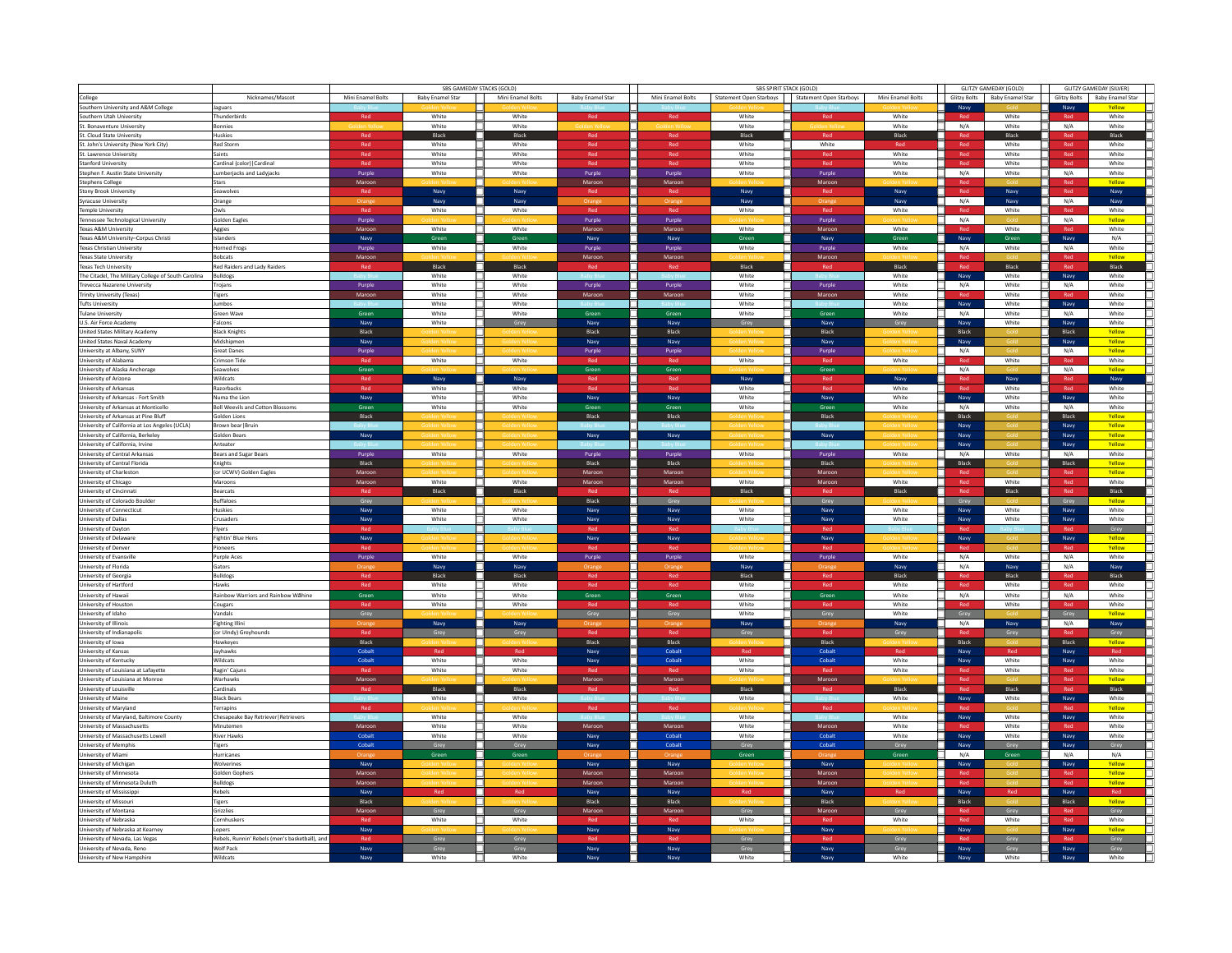|                                                           |                                                | SBS GAMEDAY STACKS (GOLD) |                  |                   |                         |                   | SBS SPIRIT STACK (GOLD)                           | GLITZY GAMEDAY (GOLD) | <b>GLITZY GAMEDAY (SILVER)</b> |           |                               |            |                               |               |
|-----------------------------------------------------------|------------------------------------------------|---------------------------|------------------|-------------------|-------------------------|-------------------|---------------------------------------------------|-----------------------|--------------------------------|-----------|-------------------------------|------------|-------------------------------|---------------|
| College                                                   | Nicknames/Mascot                               | Mini Enamel Bolts         | Baby Enamel Star | Mini Enamel Bolts | <b>Baby Enamel Star</b> | Mini Enamel Bolts | Statement Open Starboys   Statement Open Starboys |                       | Mini Enamel Bolts              |           | Glitzy Bolts Baby Enamel Star |            | Glitzy Bolts Baby Enamel Star |               |
| Southern University and A&M College                       |                                                |                           |                  |                   |                         |                   |                                                   |                       |                                |           |                               |            |                               |               |
|                                                           | Jaguars                                        |                           |                  |                   |                         |                   |                                                   |                       |                                | Navy      |                               | Navy       |                               | Yellow        |
| Southern Utah University                                  | hunderbirds                                    | Red                       | White            | White             |                         | Red               | White                                             |                       | White                          |           | White                         |            |                               | White         |
| St. Bonaventure University                                | Bonnies                                        |                           | White            | White             |                         |                   | White                                             |                       | White                          | ┑<br>N/A  | White                         | N/A        |                               | White         |
| St. Cloud State University                                | luskies                                        | Red                       | Black            | Black             | Red                     | Red               | Black                                             | Red                   | Black                          | Red       | Black                         | Red        |                               | Black         |
| St. John's University (New York City)                     | Red Storm                                      | Red                       | White            | White             | Red                     | Red               | White                                             | White                 |                                | Red       | White                         | Red        |                               | White         |
| St. Lawrence University                                   | aints                                          | Red                       | White            | White             | Red                     | Red               | White                                             | Red                   | White                          | Red       | White                         | Red        |                               | White         |
| Stanford University                                       | Cardinal (color)   Cardinal                    | Red                       | White            | White             | Red                     | Red               | White                                             | Red                   | White                          | Red       | White                         | Red        |                               | White         |
| Stephen F. Austin State University                        | umberiacks and Ladviacks                       | Purple                    | White            | White             | Purple                  | Purple            | White                                             | Purple                | White                          | N/A       | White                         | N/A        |                               | White         |
| Stephens College                                          | Stars                                          | Maroon                    |                  |                   | Maroor                  | Maroor            |                                                   | Maroor                |                                | Red       |                               | Red        |                               | Vollow        |
|                                                           | Seawolves                                      | Red                       | Navy             | Navy              | Red                     |                   | Navy                                              |                       | Navy                           | Red       |                               | Red        |                               | Navy          |
| Stony Brook University                                    |                                                |                           |                  |                   |                         | Red               |                                                   | Red                   |                                |           | Navy                          | N/A        |                               |               |
| Syracuse University                                       | Orange                                         |                           | Navy             | Navy              |                         |                   | Navy                                              |                       | Navy                           | N/A       | Navy                          |            |                               | Navy          |
| Temple University                                         | Owls                                           | Red                       | White            | White             | Red                     | Red               | White                                             | Red                   | White                          | Red       | White                         | Red        |                               | White         |
| Tennessee Technological University                        | <b>Golden Eagles</b>                           | Purple                    |                  |                   | Purple                  | Purple            |                                                   | Purple                |                                | ┑<br>N/A  |                               | N/A        |                               | Yellow        |
| Texas A&M University                                      | Aggies                                         | Maroon                    | White            | White<br>п        | Maroon                  | Maroor            | White                                             | Maroon                | White                          | Red       | White                         |            |                               | White         |
| Texas A&M University-Corpus Christi                       | slanders                                       | Navy                      | Greet            | Green             | Navy                    | Navy              | Green                                             | Navy                  | Green                          | Navy      | Green                         | Navy       |                               | N/A           |
| Texas Christian University                                | orned Frogs                                    | Purple                    | White            | White             | Purple                  | Purple            | White                                             | Purple                | White                          | N/A       | White                         | N/A        |                               | White         |
| Texas State University                                    | <b>Bobcats</b>                                 | Maroon                    |                  |                   | Maroon                  | Maroon            |                                                   | Maroon                |                                | Rec       |                               | Red        |                               | Vallow        |
| Texas Tech University                                     | Red Raiders and Lady Raiders                   |                           | Black            | Black             |                         | Red               | Black                                             |                       | Black                          |           | Black                         | Red        |                               | Black         |
| The Citadel, The Military College of South Carolina       | <b>Bulldogs</b>                                |                           | White            | White             |                         |                   | White                                             |                       | White                          | Navy      | White                         | Navy       |                               | White         |
|                                                           |                                                |                           | White            | White             |                         |                   | White                                             |                       | White                          | N/A       | White                         | N/A        |                               | White         |
| Trevecca Nazarene University                              | <b>Trojans</b>                                 | Purple                    |                  |                   | Purple                  | Purple            |                                                   | Purple                |                                |           |                               |            |                               |               |
| Trinity University (Texas)                                | <b>Tigers</b>                                  | Maroor                    | White            | White             | Maroo                   | Maro              | White                                             | Maroor                | White                          |           | White                         |            |                               | White         |
| <b>Tufts University</b>                                   | lumbos                                         |                           | White            | White             |                         |                   | White                                             |                       | White                          | Navy      | White                         | Navy       |                               | White         |
| Tulane University                                         | Green Wave                                     | Green                     | White            | White             | Green                   | Green             | White                                             | Green                 | White                          | T<br>N/A  | White                         | N/A        |                               | White         |
| U.S. Air Force Academy                                    | alcons                                         | Navy                      | White            | Grey              | Navy                    | Navy              | Grey                                              | Navy                  | Grey                           | Navy      | White                         | Navy       |                               | White         |
| United States Military Academy                            | <b>Black Knights</b>                           | Black                     |                  |                   | Black                   | Black             |                                                   | Black                 |                                | Black     |                               | Black      |                               | Yellow        |
| United States Naval Academy                               | Midshipmen                                     | Navy                      |                  |                   | Navy                    | Navy              |                                                   | Navy                  |                                | Navy      |                               | Navy       |                               | Yellow        |
| University at Albany, SUNY                                | <b>Great Danes</b>                             | Purple                    |                  |                   | Purple                  | Purple            |                                                   | Purple                |                                | N/A<br>┓  |                               | N/A        |                               | Yellow        |
| University of Alabama                                     | Crimson Tide                                   |                           | White            | White             |                         |                   | White                                             |                       | White                          | Red       | White                         | Red        |                               | White         |
|                                                           |                                                |                           |                  |                   |                         |                   |                                                   |                       |                                |           |                               |            |                               | Vollow        |
| University of Alaska Anchorage                            | Seawolves                                      | Green                     |                  |                   | Green                   | Green             |                                                   | Green                 |                                | п.<br>N/A |                               | N/A        |                               |               |
| University of Arizona                                     | Wildcats                                       | Red                       | Navy             | Navy              |                         | Red               | Navy                                              | Red                   | Navy                           | Red       | Navy                          | Red        |                               | Navy          |
| University of Arkansas                                    | Razorbacks                                     |                           | White            | White             |                         |                   | White                                             |                       | White                          |           | White                         | <b>Dod</b> |                               | White         |
| University of Arkansas - Fort Smith                       | Numa the Lion                                  | Navy                      | White            | White             | Navy                    | Navy              | White                                             | Navy                  | White                          | Navy      | White                         | Navy       |                               | White         |
| University of Arkansas at Monticello                      | <b>Boll Weevils and Cotton Blossoms</b>        | Green                     | White            | White             | Green                   | Green             | White                                             | Green                 | White                          | N/A<br>٦  | White                         | N/A        |                               | White         |
| University of Arkansas at Pine Bluff                      | Golden Lions                                   | Black                     |                  |                   | Black                   | Black             |                                                   | Black                 |                                | Black     |                               | Black      |                               | Yellow        |
| University of California at Los Angeles (UCLA)            | Brown bear   Bruin                             |                           |                  |                   |                         |                   |                                                   |                       |                                | Navy      |                               | Navy       |                               | Yellow        |
| University of California, Berkeley                        | Solden Bears                                   | Navy                      |                  |                   | Navy                    | Navy              |                                                   | Navy                  |                                | Navy      |                               | Navy       |                               | Yellow        |
|                                                           | Anteater                                       |                           |                  |                   |                         |                   |                                                   |                       |                                | Navy      |                               | Navy       |                               | Yellow        |
| University of California, Irvine                          |                                                |                           |                  |                   |                         |                   |                                                   |                       |                                |           |                               |            |                               |               |
| University of Central Arkansas                            | Bears and Sugar Bears                          | Purple                    | White            | White             | Purple                  | Purple            | White                                             | Purple                | White                          | N/A       | White                         | N/A        |                               | White         |
| University of Central Florida                             | Knights                                        | Black                     |                  |                   | Black                   | Black             |                                                   | Black                 |                                | Black     |                               | Black      |                               | Yellow        |
| University of Charleston                                  | or UCWV) Golden Eagles                         | Maroon                    |                  |                   | Maroon                  | Maroon            |                                                   | Maroon                |                                |           |                               |            |                               | Yellow        |
| University of Chicago                                     | Maroons                                        | Maroon                    | White            | White             | Maroo                   | Maroon            | White                                             | Maroon                | White                          | Red       | White                         | Red        |                               | White         |
| University of Cincinnati                                  | <b>Bearcats</b>                                |                           | <b>Black</b>     | <b>Black</b>      |                         | Rod               | <b>Black</b>                                      |                       | <b>Black</b>                   | Red       | Black                         | Red        |                               | Black         |
| University of Colorado Boulder                            | <b>Suffaloes</b>                               | Grey                      |                  |                   | Black                   | Grey              |                                                   | Grey                  |                                | Grey      |                               | Grey       |                               | Yellow        |
| University of Connecticut                                 | Huskies                                        | Navy                      | White            | White             | Navy                    | Navy              | White                                             | Navy                  | White                          | Navy      | White                         | Navy       |                               | White         |
| University of Dallas                                      | rusaders                                       | Navy                      | White            | White             | Navy                    | Navy              | White                                             | Navy                  | White                          | Navy      | White                         | Navy       |                               | White         |
|                                                           | lyers                                          |                           |                  |                   |                         |                   |                                                   |                       |                                |           |                               |            |                               |               |
| University of Dayton                                      |                                                |                           |                  |                   |                         |                   |                                                   |                       |                                |           |                               |            |                               | Grey          |
| University of Delaware                                    | Fightin' Blue Hen:                             | Navy                      |                  |                   | Navy                    | Navy              |                                                   | Navy                  |                                | Navy      |                               | Navy       |                               | Yellow        |
| University of Denver                                      | <sup>b</sup> ioneers                           |                           |                  |                   |                         |                   |                                                   |                       |                                |           |                               |            |                               | Yellow        |
| University of Evansville                                  | <b>Purple Aces</b>                             | Purple                    | White            | п<br>White        | Purple                  | Purple            | White                                             | Purple                | White                          | N/A<br>п  | White                         | N/A        |                               | White         |
| University of Florida                                     | Sators                                         |                           | Navy             | Navy              |                         |                   | Navy                                              |                       | Navy                           | N/A       | Navy                          | N/A        |                               | Navy          |
| University of Georgia                                     | <b>Bulldogs</b>                                | Rod                       | Black            | Black             | Rod                     | Red               | Black                                             | Red                   | Black                          |           | Black                         | Red        |                               | Black         |
| University of Hartford                                    | Hawks                                          |                           | White            | White             |                         | Red               | White                                             |                       | White                          | Red       | White                         | Red        |                               | White         |
| University of Hawaii                                      | <b>Rainbow Warriors and Rainbow Wahine</b>     | Green                     | White            | White             | Green                   | Green             | White                                             | Green                 | White                          | N/A       | White                         | N/A        |                               | White         |
|                                                           |                                                |                           |                  |                   |                         |                   |                                                   |                       |                                |           |                               |            |                               |               |
| University of Houston                                     | Cougars                                        | Red                       | White            | White             | Red                     | Red               | White                                             | Red                   | White                          | Red       | White                         | Red        |                               | White         |
| University of Idaho                                       | <b>Vandals</b>                                 | Grey                      |                  |                   | Grey                    | Grey              | White                                             | Grey                  | White                          | Grey      |                               | Grey       |                               | Yellow        |
| University of Illinois                                    | ighting Illini                                 |                           | Navy             | Navy              |                         |                   | Navy                                              |                       | Navy                           | N/A       | Navy                          | N/A        |                               | Navy          |
| University of Indianapolis                                | (or UIndy) Greyhounds                          | <b>DAH</b>                |                  |                   | <b>Dod</b>              | Red               |                                                   | <b>Dod</b>            |                                |           |                               |            |                               | Grey          |
| University of Iowa                                        | Hawkeves                                       | Black                     |                  |                   | Black                   | Black             |                                                   | Black                 |                                | Black     |                               | Black      |                               | Yellow        |
| University of Kansas                                      | layhawks                                       | Cobalt                    | Red              | Red               | Navy                    | Cobalt            | Red                                               | Cobalt                | Red                            | Navy      | Red                           | Navy       |                               | Red           |
| University of Kentucky                                    | Wildcats                                       | Cobalt                    | White            | White<br>ш        | Navy                    | Cobalt            | White                                             | Cobalt                | White                          | Navy      | White                         | Navy       |                               | White         |
| University of Louisiana at Lafayette                      | Ragin' Cajuns                                  |                           | White            | White             |                         |                   | White                                             |                       | White                          |           | White                         |            |                               | White         |
| University of Louisiana at Monroe                         | Warhawks                                       | Maroon                    |                  |                   | Maroon                  | Maroon            |                                                   | Maroon                |                                | Red       |                               | Red        |                               | Vollow        |
| University of Louisville                                  | Cardinals                                      | Red                       | Black            | Black             | Rec                     | Red               | Black                                             | Red                   | Black                          |           | Black                         |            |                               | Black         |
|                                                           |                                                |                           |                  |                   |                         |                   |                                                   |                       |                                |           |                               |            |                               | White         |
| University of Maine                                       | <b>Black Bears</b>                             |                           | White            | White             |                         |                   | White                                             |                       | White                          | Navy      | White                         | Navy       |                               |               |
| University of Maryland                                    | Terrapins                                      | Red                       |                  |                   | Red                     | Red               |                                                   | Red                   |                                |           |                               |            |                               | Yellow        |
| University of Maryland, Baltimore County                  | Chesapeake Bay Retriever   Retrievers          |                           | White            | White             |                         |                   | White                                             |                       | White                          | Navy      | White                         | Navy       |                               | White         |
| University of Massachusetts                               | Minutemer                                      | Maroon                    | White            | White             | Maroon                  | Maroor            | White                                             | Maroon                | White                          |           | White                         |            |                               | White         |
| University of Massachusetts Lowell                        | River Hawks                                    | Cobalt                    | White            | White             | Navy                    | Cobalt            | White                                             | Cobalt                | White                          | Navy      | White                         | Navy       |                               | White         |
| University of Memphis                                     | <b>Tigers</b>                                  | Cobalt                    | Grey             | Grey              | Navy                    | Cobalt            | Grey                                              | Cobalt                | Grey                           | Navy      | Grey                          | Navy       |                               | Grey          |
| University of Miami                                       | Hurricanes                                     |                           | Green            | Green             |                         |                   | Green                                             |                       | Green                          | N/A       | Green                         | N/A        |                               | N/A           |
| University of Michigan                                    | Wolverines                                     | Navy                      |                  |                   | Navy                    | Navy              |                                                   | Navy                  |                                | Navy      |                               | Navy       |                               | Yellow        |
|                                                           | Golden Gophers                                 | Maroor                    |                  |                   | Maroon                  | Maroor            |                                                   | Maroon                |                                |           |                               |            |                               | Yellow        |
| University of Minnesota                                   |                                                |                           |                  |                   |                         |                   |                                                   |                       |                                |           |                               |            |                               |               |
| University of Minnesota Duluth                            | <b>Bulldogs</b>                                | Maroon                    |                  |                   | Maroon                  | Maroor            |                                                   | Maroon                |                                |           |                               |            |                               | Yellow        |
| University of Mississippi                                 | Rebels                                         | Navy                      | Red              | Red               | Navy                    | Navy              | Red                                               | Navy                  | Red                            | Navy      | Red                           | Navy       |                               | Red           |
| University of Missouri                                    | <b>Tigers</b>                                  | Black                     |                  |                   | Black                   | Black             |                                                   | Black                 |                                | Black     |                               | Black      |                               | Yellow        |
| University of Montana                                     | Grizzlies                                      | Maroor                    | Grey             | Grey              | Maroo                   | Maroor            | Grey                                              | Maroon                | Grey                           |           | Grey                          |            |                               | Grey          |
| University of Nebraska                                    | <b>Cornhuskers</b>                             |                           | White            | White             |                         |                   | White                                             |                       | White                          |           | White                         | Red        |                               | White         |
| University of Nebraska at Kearney                         | Lopers                                         | Navy                      |                  |                   | Navy                    | Navy              |                                                   | Navy                  |                                | Navy      |                               | Navy       |                               | Yellow        |
| University of Nevada, Las Vegas                           | Rebels, Runnin' Rebels (men's basketball), and |                           | Grey             | Grey              |                         |                   | Grey                                              |                       | Grey                           |           | Grey                          |            |                               | Grey          |
|                                                           | Wolf Pack                                      | <b>Navy</b>               |                  |                   | Navy                    | Navy              |                                                   | <b>Navy</b>           |                                | Navy      |                               | Navy       |                               |               |
| University of Nevada, Reno<br>University of New Hampshire | Wildcats                                       |                           | Grey<br>White    | Grey<br>White     |                         |                   | Grey<br>White                                     |                       | Grey<br>White                  |           | Grey<br>White                 | Navy       |                               | Grey<br>White |
|                                                           |                                                | Navy                      |                  |                   | Navy                    | Navy              |                                                   | Navy                  |                                | Navy      |                               |            |                               |               |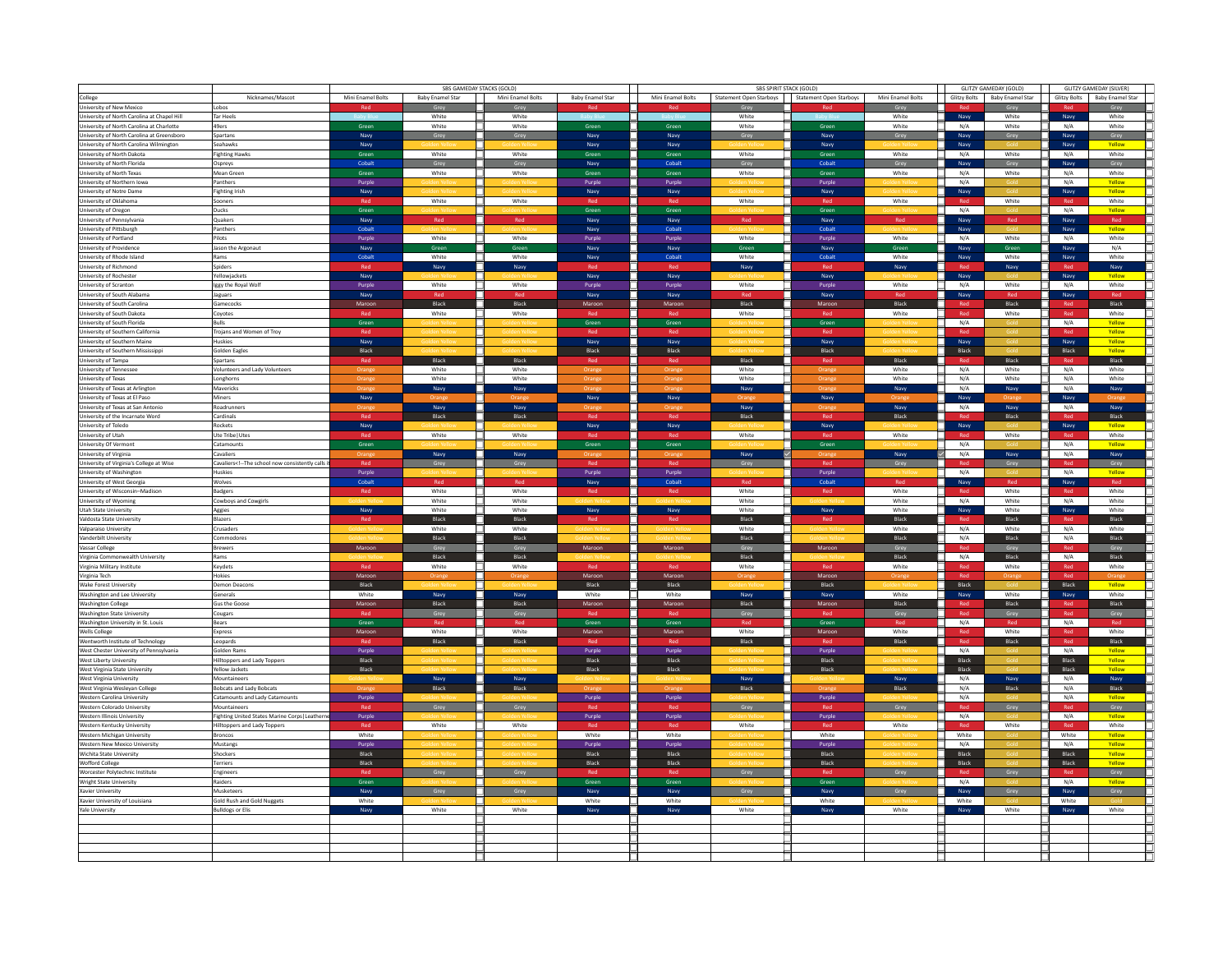|                                                    |                                                                                                                                                                                                                                  | SBS GAMEDAY STACKS (GOLD) |                  |                   |                  |                   | SBS SPIRIT STACK (GOLD)                         |              | GLITZY GAMEDAY (GOLD) | <b>GLITZY GAMEDAY (SILVER)</b> |                               |            |                               |  |
|----------------------------------------------------|----------------------------------------------------------------------------------------------------------------------------------------------------------------------------------------------------------------------------------|---------------------------|------------------|-------------------|------------------|-------------------|-------------------------------------------------|--------------|-----------------------|--------------------------------|-------------------------------|------------|-------------------------------|--|
| College                                            | Nicknames/Mascot                                                                                                                                                                                                                 | Mini Enamel Bolts         | Baby Enamel Star | Mini Enamel Bolts | Baby Enamel Star | Mini Enamel Bolts | Statement Open Starboys Statement Open Starboys |              | Mini Enamel Bolts     |                                | Glitzy Bolts Baby Enamel Star |            | Glitzy Bolts Baby Enamel Star |  |
|                                                    |                                                                                                                                                                                                                                  |                           |                  |                   |                  |                   |                                                 |              |                       |                                |                               |            |                               |  |
| University of New Mexico                           | Lobos                                                                                                                                                                                                                            | Red                       | Grey             | Grey              | Red              | Red               | Grey                                            | Red          | Grey                  |                                | Grey                          |            | Grey                          |  |
| University of North Carolina at Chapel Hill        | Tar Heels                                                                                                                                                                                                                        |                           | White            | White             |                  |                   | White                                           |              | White                 | Navy                           | White                         | Navy       | White                         |  |
| University of North Carolina at Charlotte          | 49ers                                                                                                                                                                                                                            | Green                     | White            | White             | Green            | Green             | White                                           | Green        | White                 | т<br>N/A                       | White                         | N/A        | White                         |  |
| University of North Carolina at Greensboro         | Spartans                                                                                                                                                                                                                         | Navy                      | Grey             | Grey              | Navy             | Navy              | Grey                                            | Navy         | Grey                  | Navy                           | Grey                          | Navy       | Grey                          |  |
| University of North Carolina Wilmington            | Seahawks                                                                                                                                                                                                                         | Navy                      |                  |                   | Navy             | Navy              |                                                 | Navy         |                       | Navy                           |                               | Navy       | Yellow                        |  |
| University of North Dakota                         | <b>Fighting Hawks</b>                                                                                                                                                                                                            | Green                     | White            | White             | Green            | Green             | White                                           | Green        | White                 | N/A                            | White                         | N/A        | White                         |  |
| University of North Florida                        | Ospreys                                                                                                                                                                                                                          | Cohalt                    | Grey             | Grey              | Navy             | Cohalt            | Grey                                            | Cobalt       | Grey                  | Navy                           | Grey                          | Navy       | Grey                          |  |
| University of North Texas                          | Mean Green                                                                                                                                                                                                                       | Green                     | White            | White             | Green            | Green             | White                                           | Green        | White                 | ٦<br>N/A                       | White                         | N/A        | White                         |  |
| University of Northern Iowa                        | Panthers                                                                                                                                                                                                                         | Purple                    |                  |                   | Purple           | Purple            |                                                 | Purple       |                       | N/A<br>٦                       |                               | N/A        | Yellow                        |  |
| University of Notre Dame                           | <b>Fighting Irish</b>                                                                                                                                                                                                            | Navy                      |                  |                   | Navy             | Navy              |                                                 | Navy         |                       | Navy                           |                               | Navy       | Yellow                        |  |
| University of Oklahoma                             | Sooners                                                                                                                                                                                                                          |                           | White            | White             |                  |                   | White                                           |              | White                 |                                | White                         |            | White                         |  |
|                                                    |                                                                                                                                                                                                                                  |                           |                  |                   |                  | Green             |                                                 |              |                       | T<br>N/A                       |                               | N/A        | Yellow                        |  |
| University of Oregon<br>University of Pennsylvania | Ducks<br>Quakers                                                                                                                                                                                                                 | Green                     |                  | Red               | Green            | Naw               |                                                 | Green        |                       | Navy                           |                               |            |                               |  |
|                                                    |                                                                                                                                                                                                                                  | Navy                      | Red              |                   | Navy             |                   | Red                                             | Navy         | Red                   |                                | Red                           | Navy       | Red                           |  |
| University of Pittsburgh                           | Panthers                                                                                                                                                                                                                         | Cobalt                    |                  |                   | Navy             | Cobalt            |                                                 | Cobalt       |                       | Navy                           |                               | Navy       | Yellow                        |  |
| University of Portland                             | Pilots                                                                                                                                                                                                                           | Purple                    | White            | White             | Purple           | Purple            | White                                           | Purple       | White                 | N/A<br>٦.                      | White                         | N/A        | White                         |  |
| University of Providence                           | lason the Argonaut                                                                                                                                                                                                               | Navy                      | <b>Gree</b>      | Gree              | Navy             | Navy              | Gree                                            | Navy         | Gree                  | Navy                           | Green                         | Navy       | N/A                           |  |
| University of Rhode Island                         | Rams                                                                                                                                                                                                                             | Cohalt                    | White            | White             | Navy             | Cohalt            | White                                           | Cobalt       | White                 | Navy                           | White                         | Navy       | White                         |  |
| University of Richmond                             | Spiders                                                                                                                                                                                                                          |                           | Navy             | Navy              |                  |                   | Navy                                            |              | Navy                  |                                | Navy                          |            | Navy                          |  |
| University of Rochester                            | Yellowjackets                                                                                                                                                                                                                    | Navy                      |                  |                   | Navy             | Navy              |                                                 | Navy         |                       | Navy                           |                               | Navy       | Yellow                        |  |
| University of Scranton                             | Iggy the Royal Wolf                                                                                                                                                                                                              | Purple                    | White            | White             | Purple           | Purple            | White                                           | Purple       | White                 | N/A<br>ш.                      | White                         | N/A        | White                         |  |
| University of South Alabama                        | Jaguars                                                                                                                                                                                                                          | Navy                      |                  |                   |                  |                   |                                                 | Navy         |                       |                                |                               |            |                               |  |
|                                                    |                                                                                                                                                                                                                                  |                           |                  | <b>Black</b>      | Navy<br>Maroc    | Navy              |                                                 |              |                       | Navy                           | Black                         | Navy       |                               |  |
| University of South Carolina                       | Gamecocks                                                                                                                                                                                                                        | Maroor                    | Black            |                   |                  | Maroor            | Black                                           | Maroon       | Black                 |                                |                               |            | Black                         |  |
| University of South Dakota                         | Covotes                                                                                                                                                                                                                          |                           | White            | White             |                  |                   | White                                           |              | White                 | Rec                            | White                         | Red        | White                         |  |
| University of South Florida                        | Bulls                                                                                                                                                                                                                            | Green                     |                  |                   | Green            | Green             |                                                 | Green        |                       | N/A<br>┒                       |                               | N/A        | Yellow                        |  |
| University of Southern California                  | Troians and Women of Troy                                                                                                                                                                                                        |                           |                  |                   |                  |                   |                                                 |              |                       |                                |                               |            | Yellow                        |  |
| University of Southern Maine                       | Huskies                                                                                                                                                                                                                          | Navy                      |                  |                   | Navy             | Navy              |                                                 | Navy         |                       | Navy                           |                               | Navy       | Yellow                        |  |
| University of Southern Mississippi                 | Golden Eagles                                                                                                                                                                                                                    | Black                     |                  |                   | Black            | Black             |                                                 | Black        |                       | Black                          |                               | Black      | Vollow                        |  |
| University of Tampa                                | Spartans                                                                                                                                                                                                                         |                           | Black            | Black             |                  |                   | Black                                           |              | Black                 |                                | Black                         |            | Black                         |  |
| University of Tennessee                            | Volunteers and Lady Volunteers                                                                                                                                                                                                   | Orange                    | White            | White             | Orang            | Orang             | White                                           | Orang        | White                 | □.<br>N/A                      | White                         | N/A        | White                         |  |
| University of Texas                                | Longhorns                                                                                                                                                                                                                        |                           | White            | White             |                  |                   | White                                           |              | White                 | N/A                            | White                         | N/A        | White                         |  |
|                                                    |                                                                                                                                                                                                                                  | Orang                     |                  |                   | Oran             | Orang             |                                                 |              |                       | H                              |                               |            |                               |  |
| University of Texas at Arlington                   | Mavericks                                                                                                                                                                                                                        |                           | Navy             | Navy              |                  |                   | Navy                                            |              | Navy                  | N/A                            | Navy                          | N/A        | Navy                          |  |
| University of Texas at El Paso                     | Miners                                                                                                                                                                                                                           | Navy                      |                  |                   | Navy             | Navy              |                                                 | Navy         |                       | Navy                           |                               | Navy       |                               |  |
| University of Texas at San Antonio                 | Roadrunners                                                                                                                                                                                                                      |                           | Navy             | Navy              |                  |                   | Navy                                            |              | Navy                  | N/A                            | Navy                          | N/A        | Navy                          |  |
| University of the Incarnate Word                   | Cardinals                                                                                                                                                                                                                        | Ros                       | Black            | Black             |                  | Red               | Black                                           | DA.          | Black                 |                                | Black                         |            | Black                         |  |
| University of Toledo                               | Rockets                                                                                                                                                                                                                          | Navy                      |                  |                   | Navy             | Navy              |                                                 | Navy         |                       | Navy                           |                               | Navy       | Yellow                        |  |
| University of Utah                                 | Jte Tribe Utes                                                                                                                                                                                                                   |                           | White            | White             |                  |                   | White                                           |              | White                 |                                | White                         |            | White                         |  |
| University Of Vermont                              | Catamounts                                                                                                                                                                                                                       | Green                     |                  |                   | Green            | Green             |                                                 | Green        |                       | N/A                            |                               | N/A        | Vollow                        |  |
|                                                    | <b>Cavaliers</b>                                                                                                                                                                                                                 |                           | Navy             |                   |                  |                   | Navy                                            |              | Navy                  | ✓<br>N/A                       |                               | N/A        | Navy                          |  |
| University of Virginia                             |                                                                                                                                                                                                                                  |                           |                  | Navy              |                  |                   |                                                 |              |                       |                                | Navy                          |            |                               |  |
| University of Virginia's College at Wise           | Cavaliers<!-- The school now consistently calls</td> <td>Red</td> <td>Grey</td> <td>Grey</td> <td>Red</td> <td>Red</td> <td>Grey</td> <td>Red</td> <td>Grey</td> <td>Red</td> <td>Grey</td> <td>Red</td> <td>Grey</td> <td></td> | Red                       | Grey             | Grey              | Red              | Red               | Grey                                            | Red          | Grey                  | Red                            | Grey                          | Red        | Grey                          |  |
| University of Washington                           | <b>Huskies</b>                                                                                                                                                                                                                   | Purple                    |                  |                   | Purple           | Purple            |                                                 | Purple       |                       | N/A<br>п.                      |                               | N/A        | Yellow                        |  |
| University of West Georgia                         | Wolves                                                                                                                                                                                                                           | Cobalt                    | Red              | Red               | Navy             | Cobalt            | Red                                             | Cobalt       | Red                   | Navy                           | Red                           | Navy       | Red                           |  |
| University of Wisconsin-Madison                    | Badgers                                                                                                                                                                                                                          | Ror                       | White            | White             |                  |                   | White                                           | Ror          | White                 |                                | White                         |            | White                         |  |
| University of Wyoming                              | <b>Cowboys and Cowgirls</b>                                                                                                                                                                                                      |                           | White            | White             |                  |                   | White                                           |              | White                 | т<br>N/A                       | White                         | N/A        | White                         |  |
| Utah State University                              | Aggies                                                                                                                                                                                                                           | Navy                      | White            | White             | Navy             | Navy              | White                                           | Navy         | White                 | Navy                           | White                         | Navy       | White                         |  |
| Valdosta State University                          | <b>Blazers</b>                                                                                                                                                                                                                   | Red                       | Black            | Black             |                  | Red               | Black                                           | Red          | Black                 |                                | <b>Black</b>                  | Red        | Black                         |  |
| Valparaiso University                              | crusaders                                                                                                                                                                                                                        |                           | White            | White             |                  |                   | White                                           |              | White                 | N/A                            | White                         | N/A        | White                         |  |
| Vanderbilt University                              | commodore:                                                                                                                                                                                                                       |                           | Black            | Black             |                  |                   | Black                                           |              | Black                 | N/A                            | Black                         | N/A        | Black                         |  |
| Vassar College                                     | <b>Brewers</b>                                                                                                                                                                                                                   | Maroon                    |                  |                   | Maroon           | Maroon            |                                                 | Maroon       |                       | Rec                            |                               |            | Grev                          |  |
|                                                    |                                                                                                                                                                                                                                  |                           |                  |                   |                  |                   |                                                 |              |                       |                                |                               |            |                               |  |
| Virginia Commonwealth University                   | Rams                                                                                                                                                                                                                             |                           | Black            | Black             |                  |                   | Black                                           |              | Black                 | ı.<br>N/A                      | Black                         | N/A        | Black                         |  |
| Virginia Military Institute                        | Keydets                                                                                                                                                                                                                          | Red                       | White            | White             | Red              | Red               | White                                           | Red          | White                 | <b>Red</b>                     | White                         | <b>Red</b> | White                         |  |
| Virginia Tech                                      | Hokies                                                                                                                                                                                                                           | Maroon                    |                  |                   | Maroon           | Maroon            |                                                 | Maroon       |                       |                                |                               |            |                               |  |
| <b>Wake Forest University</b>                      | Demon Deacons                                                                                                                                                                                                                    | Black                     |                  |                   | Black            | Black             |                                                 | Black        |                       | Black                          |                               | Black      | Yellow                        |  |
| Washington and Lee University                      | Generals                                                                                                                                                                                                                         | White                     | Navy             | Navy              | White            | White             | Navy                                            | Navy         | White                 | Navy                           | White                         | Navy       | White                         |  |
| <b>Washington College</b>                          | Gus the Goose                                                                                                                                                                                                                    | Maroor                    | Black            | Black             | Maroon           | Maroon            | Black                                           | Maroon       | Black                 | Red                            | Black                         | Red        | Black                         |  |
| <b>Washington State University</b>                 | Cougars                                                                                                                                                                                                                          |                           | Grey             | Grey              |                  |                   | Grey                                            |              | Grey                  | Red                            | Grey                          | Red        | Grey                          |  |
| Washington University in St. Louis                 | Bears                                                                                                                                                                                                                            | Green                     | Red              |                   | Green            | Green             |                                                 | Green        |                       | N/A                            |                               | N/A        | Red                           |  |
|                                                    |                                                                                                                                                                                                                                  |                           | White            | White             |                  |                   | White                                           |              | Red<br>White          | Red                            | Red<br>White                  |            | White                         |  |
| Wells College                                      | Express                                                                                                                                                                                                                          | Maroor                    |                  |                   | Maroon           | Maroor            |                                                 | Maroon       |                       |                                |                               | Red        |                               |  |
| Wentworth Institute of Technology                  | Leopards                                                                                                                                                                                                                         |                           | Black            | Black             |                  |                   | Black                                           |              | Black                 | Red                            | Black                         | Red        | Black                         |  |
| West Chester University of Pennsylvania            | Golden Rams                                                                                                                                                                                                                      | Purple                    |                  |                   | Purple           | Purple            |                                                 | Purple       |                       | N/A<br>┒                       |                               | N/A        | Yellow                        |  |
| West Liberty University                            | <b>Hilltoppers and Lady Toppers</b>                                                                                                                                                                                              | Black                     |                  |                   | <b>Rlack</b>     | Black             |                                                 | <b>Black</b> |                       | Black                          |                               | Black      | Yellow                        |  |
| West Virginia State University                     | Yellow Jackets                                                                                                                                                                                                                   | Black                     |                  |                   | Black            | Black             |                                                 | Black        |                       | Black                          |                               | Black      | Yellow                        |  |
| West Virginia University                           | Mountaineers                                                                                                                                                                                                                     |                           | Navy             | Navy              |                  |                   | Navy                                            |              | Navy                  | N/A                            | Navy                          | N/A        | Navy                          |  |
| West Virginia Wesleyan College                     | <b>Bobcats and Lady Bobcats</b>                                                                                                                                                                                                  |                           | Black            | Black             |                  |                   | Black                                           |              | Black                 | N/A                            | Black                         | N/A        | Black                         |  |
| Western Carolina University                        | Catamounts and Lady Catamounts                                                                                                                                                                                                   | Purple                    |                  |                   | Purple           | Purple            |                                                 | Purple       |                       | N/A                            |                               | N/A        | Yellow                        |  |
| Western Colorado University                        | Mountaineers                                                                                                                                                                                                                     | Rer                       |                  | Grey              |                  | Red               |                                                 | Red          | Grey                  | Red                            | Grey                          | Red        | Grey                          |  |
| Western Illinois University                        | Fighting United States Marine Corps   Leather                                                                                                                                                                                    | Purple                    | Grey             |                   | Purple           | Purple            | Grey                                            | Purple       |                       | N/A                            |                               | N/A        |                               |  |
|                                                    |                                                                                                                                                                                                                                  |                           |                  |                   |                  |                   |                                                 |              |                       | ⊐                              |                               |            | Yellow                        |  |
| Western Kentucky University                        | <b>Hilltoppers and Lady Toppers</b>                                                                                                                                                                                              | Red                       | White            | White             |                  | Red               | White                                           | Red          | White                 | Red                            | White                         | Red        | White                         |  |
| Western Michigan University                        | Broncos                                                                                                                                                                                                                          | White                     |                  |                   | White            | White             |                                                 | White        |                       | ┑<br>White                     |                               | White      | Yellow                        |  |
| Western New Mexico University                      | Mustangs                                                                                                                                                                                                                         | Purple                    |                  |                   | Purple           | Purple            |                                                 | Purple       |                       | N/A<br>┓                       |                               | N/A        | Yellow                        |  |
| Wichita State University                           | Shockers                                                                                                                                                                                                                         | Black                     |                  |                   | Black            | Black             |                                                 | Black        |                       | Black                          |                               | Black      | Yellow                        |  |
| Wofford College                                    | erriers                                                                                                                                                                                                                          | Black                     |                  |                   | Black            | Black             |                                                 | Black        |                       | Black                          |                               | Black      | Yellow                        |  |
| Worcester Polytechnic Institute                    | Engineers                                                                                                                                                                                                                        |                           |                  |                   |                  |                   |                                                 |              | Grey                  |                                |                               |            | Grey                          |  |
| Wright State University                            | Raiders                                                                                                                                                                                                                          | Green                     |                  |                   | Green            | Green             |                                                 | Green        |                       | ┑.<br>N/A                      |                               | N/A        | Yellow                        |  |
| Xavier University                                  | Musketeers                                                                                                                                                                                                                       | Navy                      | Grey             | Grey              | Navy             | Navy              | Grey                                            | Navy         | Grey                  | Navy                           | Grey                          | Navy       | Grey                          |  |
|                                                    |                                                                                                                                                                                                                                  | White                     |                  |                   | White            | White             |                                                 | White        |                       | White                          |                               | White      |                               |  |
| Xavier University of Louisiana                     | <b>Gold Rush and Gold Nuggets</b>                                                                                                                                                                                                |                           |                  |                   |                  |                   |                                                 |              |                       |                                |                               |            |                               |  |
| Yale University                                    | sulldogs or Elis                                                                                                                                                                                                                 | Navy                      | White            | White             | Navy             | Navy              | White                                           | Navy         | White                 | Navy                           | White                         | Navy       | White                         |  |
|                                                    |                                                                                                                                                                                                                                  |                           |                  |                   |                  |                   |                                                 |              |                       |                                |                               |            |                               |  |
|                                                    |                                                                                                                                                                                                                                  |                           |                  |                   |                  |                   |                                                 |              |                       |                                |                               |            |                               |  |
|                                                    |                                                                                                                                                                                                                                  |                           |                  |                   |                  |                   |                                                 |              |                       |                                |                               |            |                               |  |
|                                                    |                                                                                                                                                                                                                                  |                           |                  |                   |                  |                   |                                                 |              |                       |                                |                               |            |                               |  |
|                                                    |                                                                                                                                                                                                                                  |                           |                  |                   |                  |                   |                                                 |              |                       |                                |                               |            |                               |  |
|                                                    |                                                                                                                                                                                                                                  |                           |                  |                   |                  |                   |                                                 |              |                       |                                |                               |            |                               |  |